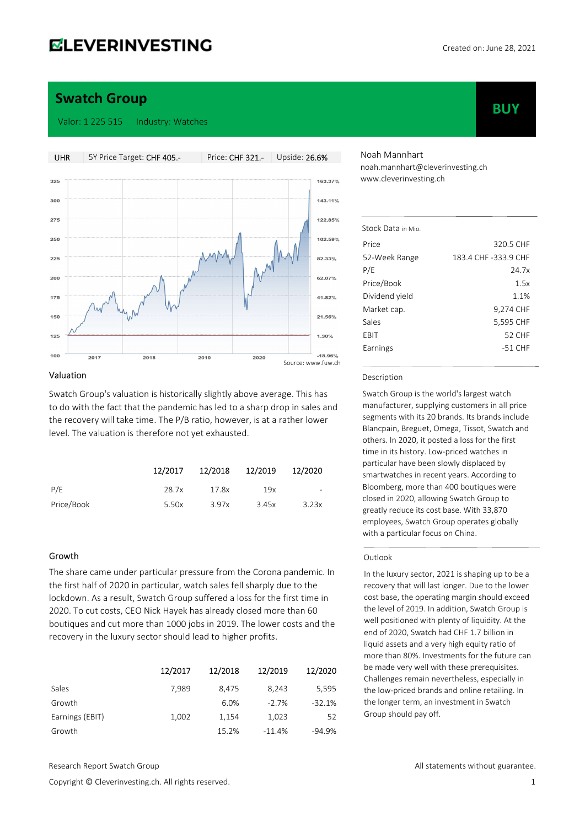# **ELEVERINVESTING**

**BUY** 

## Swatch Group

#### Valor: 1 225 515 Industry: Watches



#### Valuation

Swatch Group's valuation is historically slightly above average. This has to do with the fact that the pandemic has led to a sharp drop in sales and the recovery will take time. The P/B ratio, however, is at a rather lower level. The valuation is therefore not yet exhausted.

|            | 12/2017 | 12/2018 | 12/2019 | 12/2020                  |
|------------|---------|---------|---------|--------------------------|
| P/E        | 28.7x   | 17.8x   | 19x     | $\overline{\phantom{a}}$ |
| Price/Book | 5.50x   | 3.97x   | 3.45x   | 3.23x                    |

### Growth

The share came under particular pressure from the Corona pandemic. In the first half of 2020 in particular, watch sales fell sharply due to the lockdown. As a result, Swatch Group suffered a loss for the first time in 2020. To cut costs, CEO Nick Hayek has already closed more than 60 boutiques and cut more than 1000 jobs in 2019. The lower costs and the recovery in the luxury sector should lead to higher profits.

|                 | 12/2017 | 12/2018 | 12/2019  | 12/2020  |
|-----------------|---------|---------|----------|----------|
| Sales           | 7.989   | 8,475   | 8.243    | 5,595    |
| Growth          |         | 6.0%    | $-2.7%$  | $-32.1%$ |
| Earnings (EBIT) | 1,002   | 1,154   | 1,023    | 52       |
| Growth          |         | 15.2%   | $-11.4%$ | $-94.9%$ |

Noah Mannhart noah.mannhart@cleverinvesting.ch www.cleverinvesting.ch

| Stock Data in Mio. |                      |
|--------------------|----------------------|
| Price              | 320.5 CHF            |
| 52-Week Range      | 183.4 CHF -333.9 CHF |
| P/E                | 24.7x                |
| Price/Book         | 1.5x                 |
| Dividend yield     | 1.1%                 |
| Market cap.        | 9,274 CHF            |
| Sales              | 5,595 CHF            |
| EBIT               | <b>52 CHF</b>        |
| Earnings           | $-51$ CHF            |
|                    |                      |

#### Description

Swatch Group is the world's largest watch manufacturer, supplying customers in all price segments with its 20 brands. Its brands include Blancpain, Breguet, Omega, Tissot, Swatch and others. In 2020, it posted a loss for the first time in its history. Low-priced watches in particular have been slowly displaced by smartwatches in recent years. According to Bloomberg, more than 400 boutiques were closed in 2020, allowing Swatch Group to greatly reduce its cost base. With 33,870 employees, Swatch Group operates globally with a particular focus on China.

#### Outlook

In the luxury sector, 2021 is shaping up to be a recovery that will last longer. Due to the lower cost base, the operating margin should exceed the level of 2019. In addition, Swatch Group is well positioned with plenty of liquidity. At the end of 2020, Swatch had CHF 1.7 billion in liquid assets and a very high equity ratio of more than 80%. Investments for the future can be made very well with these prerequisites. Challenges remain nevertheless, especially in the low-priced brands and online retailing. In the longer term, an investment in Swatch Group should pay off.

Copyright © Cleverinvesting.ch. All rights reserved. 1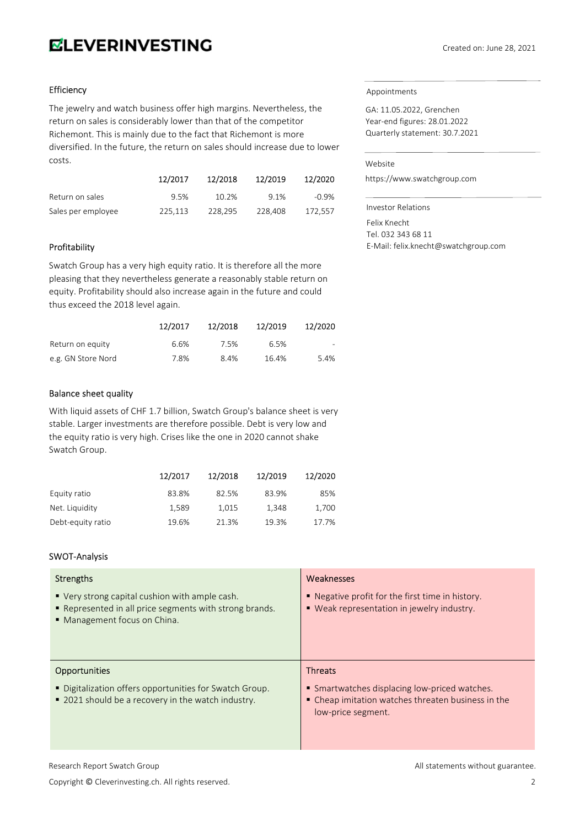# **ELEVERINVESTING**

### Efficiency

The jewelry and watch business offer high margins. Nevertheless, the return on sales is considerably lower than that of the competitor Richemont. This is mainly due to the fact that Richemont is more diversified. In the future, the return on sales should increase due to lower costs.

|                    | 12/2017 | 12/2018 | 12/2019 | 12/2020 |
|--------------------|---------|---------|---------|---------|
| Return on sales    | 9.5%    | 10.2%   | 9.1%    | -0.9%   |
| Sales per employee | 225.113 | 228.295 | 228.408 | 172.557 |

#### Profitability

Swatch Group has a very high equity ratio. It is therefore all the more pleasing that they nevertheless generate a reasonably stable return on equity. Profitability should also increase again in the future and could thus exceed the 2018 level again.

|                    | 12/2017 | 12/2018 | 12/2019 | 12/2020 |
|--------------------|---------|---------|---------|---------|
| Return on equity   | 6.6%    | 7.5%    | 6.5%    | $\sim$  |
| e.g. GN Store Nord | 7.8%    | 8.4%    | 16.4%   | 5.4%    |

### Balance sheet quality

With liquid assets of CHF 1.7 billion, Swatch Group's balance sheet is very stable. Larger investments are therefore possible. Debt is very low and the equity ratio is very high. Crises like the one in 2020 cannot shake Swatch Group.

|                   | 12/2017 | 12/2018 | 12/2019 | 12/2020 |
|-------------------|---------|---------|---------|---------|
| Equity ratio      | 83.8%   | 82.5%   | 83.9%   | 85%     |
| Net. Liquidity    | 1.589   | 1,015   | 1.348   | 1,700   |
| Debt-equity ratio | 19.6%   | 21.3%   | 19.3%   | 17.7%   |

### SWOT-Analysis

| Strengths<br>■ Very strong capital cushion with ample cash.<br>• Represented in all price segments with strong brands.<br>• Management focus on China. | Weaknesses<br>■ Negative profit for the first time in history.<br>■ Weak representation in jewelry industry.                                |
|--------------------------------------------------------------------------------------------------------------------------------------------------------|---------------------------------------------------------------------------------------------------------------------------------------------|
| <b>Opportunities</b><br>■ Digitalization offers opportunities for Swatch Group.<br>■ 2021 should be a recovery in the watch industry.                  | <b>Threats</b><br>• Smartwatches displacing low-priced watches.<br>• Cheap imitation watches threaten business in the<br>low-price segment. |

Appointments

GA: 11.05.2022, Grenchen Year-end figures: 28.01.2022 Quarterly statement: 30.7.2021

### Website

https://www.swatchgroup.com

Investor Relations Felix Knecht Tel. 032 343 68 11 E-Mail: felix.knecht@swatchgroup.com